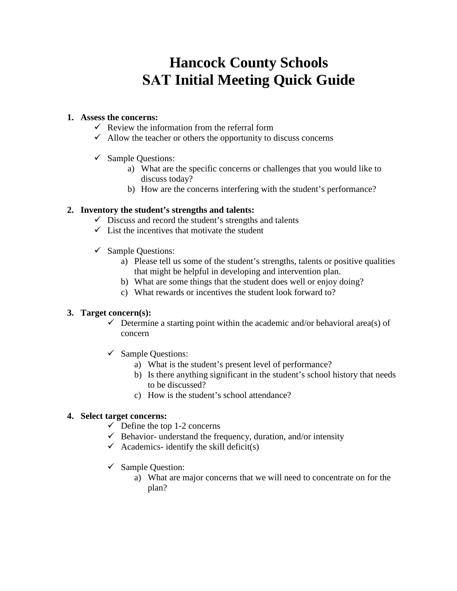# **Hancock County Schools SAT Initial Meeting Quick Guide**

## **1. Assess the concerns:**

- $\checkmark$  Review the information from the referral form
- $\checkmark$  Allow the teacher or others the opportunity to discuss concerns
- $\checkmark$  Sample Questions:
	- a) What are the specific concerns or challenges that you would like to discuss today?
	- b) How are the concerns interfering with the student's performance?

### **2. Inventory the student's strengths and talents:**

- $\checkmark$  Discuss and record the student's strengths and talents
- $\checkmark$  List the incentives that motivate the student
- $\checkmark$  Sample Questions:
	- a) Please tell us some of the student's strengths, talents or positive qualities that might be helpful in developing and intervention plan.
	- b) What are some things that the student does well or enjoy doing?
	- c) What rewards or incentives the student look forward to?

#### **3. Target concern(s):**

- $\checkmark$  Determine a starting point within the academic and/or behavioral area(s) of concern
- $\checkmark$  Sample Questions:
	- a) What is the student's present level of performance?
	- b) Is there anything significant in the student's school history that needs to be discussed?
	- c) How is the student's school attendance?

#### **4. Select target concerns:**

- $\checkmark$  Define the top 1-2 concerns
- $\checkmark$  Behavior- understand the frequency, duration, and/or intensity
- $\checkmark$  Academics- identify the skill deficit(s)
- $\checkmark$  Sample Question:
	- a) What are major concerns that we will need to concentrate on for the plan?